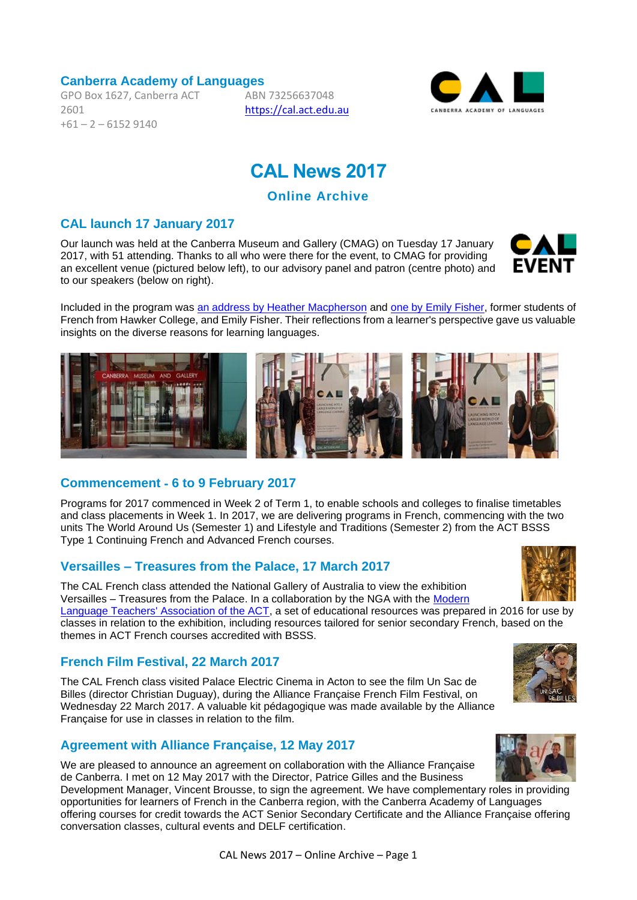#### **Canberra Academy of Languages**

GPO Box 1627, Canberra ACT 2601  $+61 - 2 - 61529140$ 

ABN 73256637048 [https://cal.act.edu.au](https://cal.act.edu.au/)



# **CAL News 2017**

**Online Archive**

## **CAL launch 17 January 2017**

Our launch was held at the Canberra Museum and Gallery (CMAG) on Tuesday 17 January 2017, with 51 attending. Thanks to all who were there for the event, to CMAG for providing an excellent venue (pictured below left), to our advisory panel and patron (centre photo) and to our speakers (below on right).

**FVFNT** 





## **Commencement** ‐ **6 to 9 February 2017**

Programs for 2017 commenced in Week 2 of Term 1, to enable schools and colleges to finalise timetables and class placements in Week 1. In 2017, we are delivering programs in French, commencing with the two units The World Around Us (Semester 1) and Lifestyle and Traditions (Semester 2) from the ACT BSSS Type 1 Continuing French and Advanced French courses.

## **Versailles – Treasures from the Palace, 17 March 2017**

The CAL French class attended the National Gallery of Australia to view the exhibition Versailles – Treasures from the Palace. In a collaboration by the NGA with the [Modern](http://www.mltaasn.asn.au/)  [Language Teachers' Association of the ACT,](http://www.mltaasn.asn.au/) a set of educational resources was prepared in 2016 for use by classes in relation to the exhibition, including resources tailored for senior secondary French, based on the

#### **French Film Festival, 22 March 2017**

themes in ACT French courses accredited with BSSS.

The CAL French class visited Palace Electric Cinema in Acton to see the film Un Sac de Billes (director Christian Duguay), during the Alliance Française French Film Festival, on Wednesday 22 March 2017. A valuable kit pédagogique was made available by the Alliance Française for use in classes in relation to the film.

#### **Agreement with Alliance Française, 12 May 2017**

We are pleased to announce an agreement on collaboration with the Alliance Française de Canberra. I met on 12 May 2017 with the Director, Patrice Gilles and the Business

Development Manager, Vincent Brousse, to sign the agreement. We have complementary roles in providing opportunities for learners of French in the Canberra region, with the Canberra Academy of Languages offering courses for credit towards the ACT Senior Secondary Certificate and the Alliance Française offering conversation classes, cultural events and DELF certification.



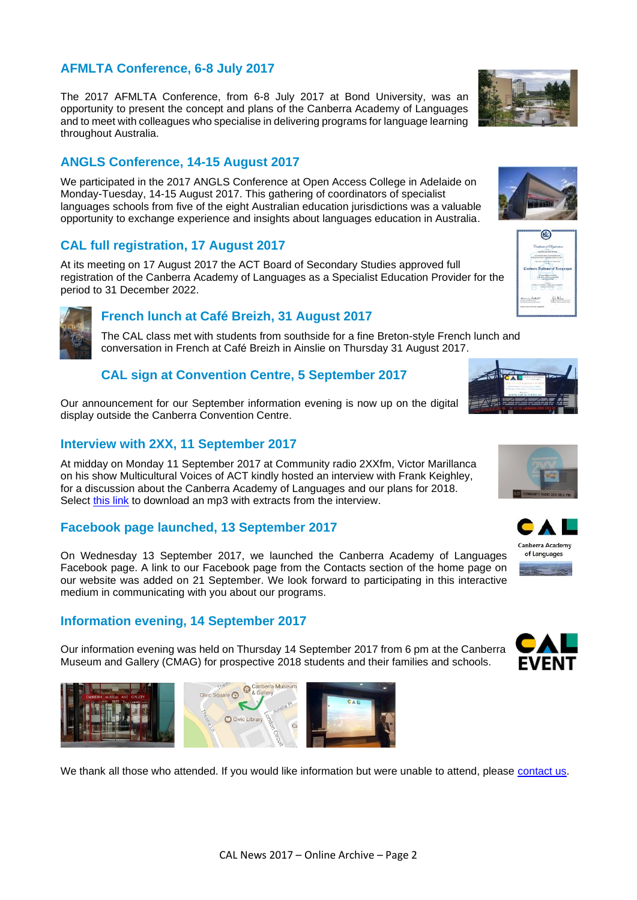# **AFMLTA Conference, 6-8 July 2017**

The 2017 AFMLTA Conference, from 6-8 July 2017 at Bond University, was an opportunity to present the concept and plans of the Canberra Academy of Languages and to meet with colleagues who specialise in delivering programs for language learning throughout Australia.

# **ANGLS Conference, 14-15 August 2017**

We participated in the 2017 ANGLS Conference at Open Access College in Adelaide on Monday-Tuesday, 14-15 August 2017. This gathering of coordinators of specialist languages schools from five of the eight Australian education jurisdictions was a valuable opportunity to exchange experience and insights about languages education in Australia.

## **CAL full registration, 17 August 2017**

At its meeting on 17 August 2017 the ACT Board of Secondary Studies approved full registration of the Canberra Academy of Languages as a Specialist Education Provider for the period to 31 December 2022.

## **French lunch at Café Breizh, 31 August 2017**

The CAL class met with students from southside for a fine Breton-style French lunch and conversation in French at Café Breizh in Ainslie on Thursday 31 August 2017.

# **CAL sign at Convention Centre, 5 September 2017**

Our announcement for our September information evening is now up on the digital display outside the Canberra Convention Centre.

## **Interview with 2XX, 11 September 2017**

At midday on Monday 11 September 2017 at Community radio 2XXfm, Victor Marillanca on his show Multicultural Voices of ACT kindly hosted an interview with Frank Keighley, for a discussion about the Canberra Academy of Languages and our plans for 2018. Select [this link](https://cal.act.edu.au/audio/2XX_Interview_CAL_2017-09-11.mp3) to download an mp3 with extracts from the interview.

## **Facebook page launched, 13 September 2017**

On Wednesday 13 September 2017, we launched the Canberra Academy of Languages Facebook page. A link to our Facebook page from the Contacts section of the home page on our website was added on 21 September. We look forward to participating in this interactive medium in communicating with you about our programs.

#### **Information evening, 14 September 2017**

 $\mathbf{I}$ 

Our information evening was held on Thursday 14 September 2017 from 6 pm at the Canberra Museum and Gallery (CMAG) for prospective 2018 students and their families and schools.

 $C_{\epsilon}$ 

Civic Square Contract & Galle  $\leq$ Civic Library

We thank all those who attended. If you would like information but were unable to attend, please [contact us.](mailto:info@cal.act.edu.au)







 $\circledcirc$ 

a Academy of Langu Magamatan yana bos<br>Liai 2017a di Shawara 2021 -<br>Liai 2017a di Shawara **Secondary Card**  $\frac{1}{2}$